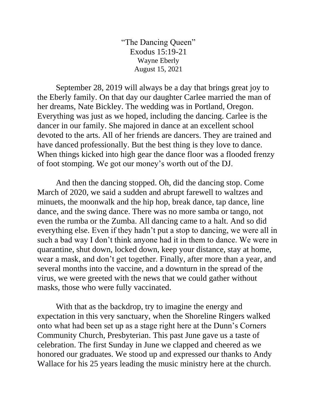"The Dancing Queen" Exodus 15:19-21 Wayne Eberly August 15, 2021

September 28, 2019 will always be a day that brings great joy to the Eberly family. On that day our daughter Carlee married the man of her dreams, Nate Bickley. The wedding was in Portland, Oregon. Everything was just as we hoped, including the dancing. Carlee is the dancer in our family. She majored in dance at an excellent school devoted to the arts. All of her friends are dancers. They are trained and have danced professionally. But the best thing is they love to dance. When things kicked into high gear the dance floor was a flooded frenzy of foot stomping. We got our money's worth out of the DJ.

And then the dancing stopped. Oh, did the dancing stop. Come March of 2020, we said a sudden and abrupt farewell to waltzes and minuets, the moonwalk and the hip hop, break dance, tap dance, line dance, and the swing dance. There was no more samba or tango, not even the rumba or the Zumba. All dancing came to a halt. And so did everything else. Even if they hadn't put a stop to dancing, we were all in such a bad way I don't think anyone had it in them to dance. We were in quarantine, shut down, locked down, keep your distance, stay at home, wear a mask, and don't get together. Finally, after more than a year, and several months into the vaccine, and a downturn in the spread of the virus, we were greeted with the news that we could gather without masks, those who were fully vaccinated.

With that as the backdrop, try to imagine the energy and expectation in this very sanctuary, when the Shoreline Ringers walked onto what had been set up as a stage right here at the Dunn's Corners Community Church, Presbyterian. This past June gave us a taste of celebration. The first Sunday in June we clapped and cheered as we honored our graduates. We stood up and expressed our thanks to Andy Wallace for his 25 years leading the music ministry here at the church.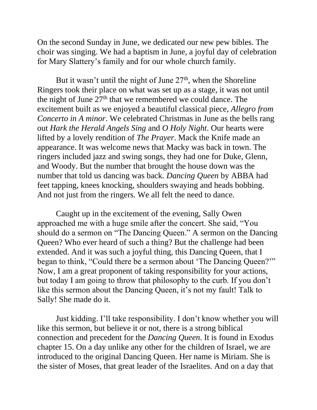On the second Sunday in June, we dedicated our new pew bibles. The choir was singing. We had a baptism in June, a joyful day of celebration for Mary Slattery's family and for our whole church family.

But it wasn't until the night of June  $27<sup>th</sup>$ , when the Shoreline Ringers took their place on what was set up as a stage, it was not until the night of June  $27<sup>th</sup>$  that we remembered we could dance. The excitement built as we enjoyed a beautiful classical piece, *Allegro from Concerto in A minor*. We celebrated Christmas in June as the bells rang out *Hark the Herald Angels Sing* and *O Holy Night*. Our hearts were lifted by a lovely rendition of *The Prayer*. Mack the Knife made an appearance. It was welcome news that Macky was back in town. The ringers included jazz and swing songs, they had one for Duke, Glenn, and Woody. But the number that brought the house down was the number that told us dancing was back*. Dancing Queen* by ABBA had feet tapping, knees knocking, shoulders swaying and heads bobbing. And not just from the ringers. We all felt the need to dance.

Caught up in the excitement of the evening, Sally Owen approached me with a huge smile after the concert. She said, "You should do a sermon on "The Dancing Queen." A sermon on the Dancing Queen? Who ever heard of such a thing? But the challenge had been extended. And it was such a joyful thing, this Dancing Queen, that I began to think, "Could there be a sermon about 'The Dancing Queen?'" Now, I am a great proponent of taking responsibility for your actions, but today I am going to throw that philosophy to the curb. If you don't like this sermon about the Dancing Queen, it's not my fault! Talk to Sally! She made do it.

Just kidding. I'll take responsibility. I don't know whether you will like this sermon, but believe it or not, there is a strong biblical connection and precedent for the *Dancing Queen*. It is found in Exodus chapter 15. On a day unlike any other for the children of Israel, we are introduced to the original Dancing Queen. Her name is Miriam. She is the sister of Moses, that great leader of the Israelites. And on a day that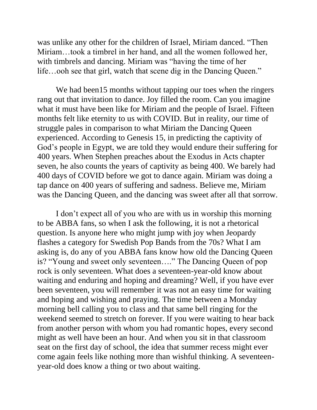was unlike any other for the children of Israel, Miriam danced. "Then Miriam…took a timbrel in her hand, and all the women followed her, with timbrels and dancing. Miriam was "having the time of her life…ooh see that girl, watch that scene dig in the Dancing Queen."

We had been15 months without tapping our toes when the ringers rang out that invitation to dance. Joy filled the room. Can you imagine what it must have been like for Miriam and the people of Israel. Fifteen months felt like eternity to us with COVID. But in reality, our time of struggle pales in comparison to what Miriam the Dancing Queen experienced. According to Genesis 15, in predicting the captivity of God's people in Egypt, we are told they would endure their suffering for 400 years. When Stephen preaches about the Exodus in Acts chapter seven, he also counts the years of captivity as being 400. We barely had 400 days of COVID before we got to dance again. Miriam was doing a tap dance on 400 years of suffering and sadness. Believe me, Miriam was the Dancing Queen, and the dancing was sweet after all that sorrow.

I don't expect all of you who are with us in worship this morning to be ABBA fans, so when I ask the following, it is not a rhetorical question. Is anyone here who might jump with joy when Jeopardy flashes a category for Swedish Pop Bands from the 70s? What I am asking is, do any of you ABBA fans know how old the Dancing Queen is? "Young and sweet only seventeen…." The Dancing Queen of pop rock is only seventeen. What does a seventeen-year-old know about waiting and enduring and hoping and dreaming? Well, if you have ever been seventeen, you will remember it was not an easy time for waiting and hoping and wishing and praying. The time between a Monday morning bell calling you to class and that same bell ringing for the weekend seemed to stretch on forever. If you were waiting to hear back from another person with whom you had romantic hopes, every second might as well have been an hour. And when you sit in that classroom seat on the first day of school, the idea that summer recess might ever come again feels like nothing more than wishful thinking. A seventeenyear-old does know a thing or two about waiting.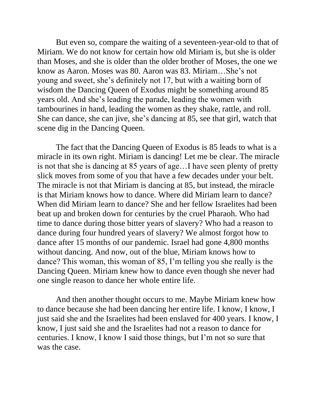But even so, compare the waiting of a seventeen-year-old to that of Miriam. We do not know for certain how old Miriam is, but she is older than Moses, and she is older than the older brother of Moses, the one we know as Aaron. Moses was 80. Aaron was 83. Miriam…She's not young and sweet, she's definitely not 17, but with a waiting born of wisdom the Dancing Queen of Exodus might be something around 85 years old. And she's leading the parade, leading the women with tambourines in hand, leading the women as they shake, rattle, and roll. She can dance, she can jive, she's dancing at 85, see that girl, watch that scene dig in the Dancing Queen.

The fact that the Dancing Queen of Exodus is 85 leads to what is a miracle in its own right. Miriam is dancing! Let me be clear. The miracle is not that she is dancing at 85 years of age…I have seen plenty of pretty slick moves from some of you that have a few decades under your belt. The miracle is not that Miriam is dancing at 85, but instead, the miracle is that Miriam knows how to dance. Where did Miriam learn to dance? When did Miriam learn to dance? She and her fellow Israelites had been beat up and broken down for centuries by the cruel Pharaoh. Who had time to dance during those bitter years of slavery? Who had a reason to dance during four hundred years of slavery? We almost forgot how to dance after 15 months of our pandemic. Israel had gone 4,800 months without dancing. And now, out of the blue, Miriam knows how to dance? This woman, this woman of 85, I'm telling you she really is the Dancing Queen. Miriam knew how to dance even though she never had one single reason to dance her whole entire life.

And then another thought occurs to me. Maybe Miriam knew how to dance because she had been dancing her entire life. I know, I know, I just said she and the Israelites had been enslaved for 400 years. I know, I know, I just said she and the Israelites had not a reason to dance for centuries. I know, I know I said those things, but I'm not so sure that was the case.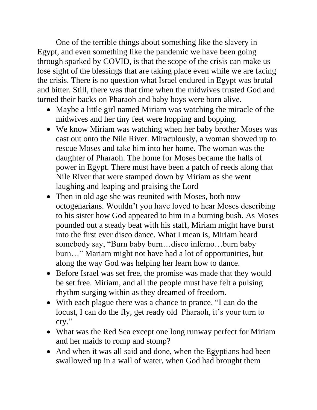One of the terrible things about something like the slavery in Egypt, and even something like the pandemic we have been going through sparked by COVID, is that the scope of the crisis can make us lose sight of the blessings that are taking place even while we are facing the crisis. There is no question what Israel endured in Egypt was brutal and bitter. Still, there was that time when the midwives trusted God and turned their backs on Pharaoh and baby boys were born alive.

- Maybe a little girl named Miriam was watching the miracle of the midwives and her tiny feet were hopping and bopping.
- We know Miriam was watching when her baby brother Moses was cast out onto the Nile River. Miraculously, a woman showed up to rescue Moses and take him into her home. The woman was the daughter of Pharaoh. The home for Moses became the halls of power in Egypt. There must have been a patch of reeds along that Nile River that were stamped down by Miriam as she went laughing and leaping and praising the Lord
- Then in old age she was reunited with Moses, both now octogenarians. Wouldn't you have loved to hear Moses describing to his sister how God appeared to him in a burning bush. As Moses pounded out a steady beat with his staff, Miriam might have burst into the first ever disco dance. What I mean is, Miriam heard somebody say, "Burn baby burn…disco inferno…burn baby burn…" Mariam might not have had a lot of opportunities, but along the way God was helping her learn how to dance.
- Before Israel was set free, the promise was made that they would be set free. Miriam, and all the people must have felt a pulsing rhythm surging within as they dreamed of freedom.
- With each plague there was a chance to prance. "I can do the locust, I can do the fly, get ready old Pharaoh, it's your turn to cry."
- What was the Red Sea except one long runway perfect for Miriam and her maids to romp and stomp?
- And when it was all said and done, when the Egyptians had been swallowed up in a wall of water, when God had brought them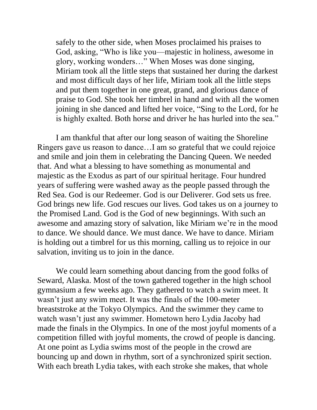safely to the other side, when Moses proclaimed his praises to God, asking, "Who is like you—majestic in holiness, awesome in glory, working wonders…" When Moses was done singing, Miriam took all the little steps that sustained her during the darkest and most difficult days of her life, Miriam took all the little steps and put them together in one great, grand, and glorious dance of praise to God. She took her timbrel in hand and with all the women joining in she danced and lifted her voice, "Sing to the Lord, for he is highly exalted. Both horse and driver he has hurled into the sea."

I am thankful that after our long season of waiting the Shoreline Ringers gave us reason to dance…I am so grateful that we could rejoice and smile and join them in celebrating the Dancing Queen. We needed that. And what a blessing to have something as monumental and majestic as the Exodus as part of our spiritual heritage. Four hundred years of suffering were washed away as the people passed through the Red Sea. God is our Redeemer. God is our Deliverer. God sets us free. God brings new life. God rescues our lives. God takes us on a journey to the Promised Land. God is the God of new beginnings. With such an awesome and amazing story of salvation, like Miriam we're in the mood to dance. We should dance. We must dance. We have to dance. Miriam is holding out a timbrel for us this morning, calling us to rejoice in our salvation, inviting us to join in the dance.

We could learn something about dancing from the good folks of Seward, Alaska. Most of the town gathered together in the high school gymnasium a few weeks ago. They gathered to watch a swim meet. It wasn't just any swim meet. It was the finals of the 100-meter breaststroke at the Tokyo Olympics. And the swimmer they came to watch wasn't just any swimmer. Hometown hero Lydia Jacoby had made the finals in the Olympics. In one of the most joyful moments of a competition filled with joyful moments, the crowd of people is dancing. At one point as Lydia swims most of the people in the crowd are bouncing up and down in rhythm, sort of a synchronized spirit section. With each breath Lydia takes, with each stroke she makes, that whole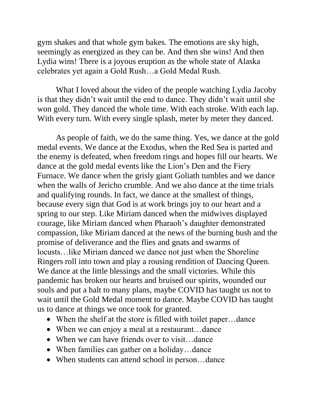gym shakes and that whole gym bakes. The emotions are sky high, seemingly as energized as they can be. And then she wins! And then Lydia wins! There is a joyous eruption as the whole state of Alaska celebrates yet again a Gold Rush…a Gold Medal Rush.

What I loved about the video of the people watching Lydia Jacoby is that they didn't wait until the end to dance. They didn't wait until she won gold. They danced the whole time. With each stroke. With each lap. With every turn. With every single splash, meter by meter they danced.

As people of faith, we do the same thing. Yes, we dance at the gold medal events. We dance at the Exodus, when the Red Sea is parted and the enemy is defeated, when freedom rings and hopes fill our hearts. We dance at the gold medal events like the Lion's Den and the Fiery Furnace. We dance when the grisly giant Goliath tumbles and we dance when the walls of Jericho crumble. And we also dance at the time trials and qualifying rounds. In fact, we dance at the smallest of things, because every sign that God is at work brings joy to our heart and a spring to our step. Like Miriam danced when the midwives displayed courage, like Miriam danced when Pharaoh's daughter demonstrated compassion, like Miriam danced at the news of the burning bush and the promise of deliverance and the flies and gnats and swarms of locusts…like Miriam danced we dance not just when the Shoreline Ringers roll into town and play a rousing rendition of Dancing Queen. We dance at the little blessings and the small victories. While this pandemic has broken our hearts and bruised our spirits, wounded our souls and put a halt to many plans, maybe COVID has taught us not to wait until the Gold Medal moment to dance. Maybe COVID has taught us to dance at things we once took for granted.

- When the shelf at the store is filled with toilet paper...dance
- When we can enjoy a meal at a restaurant...dance
- When we can have friends over to visit...dance
- When families can gather on a holiday...dance
- When students can attend school in person...dance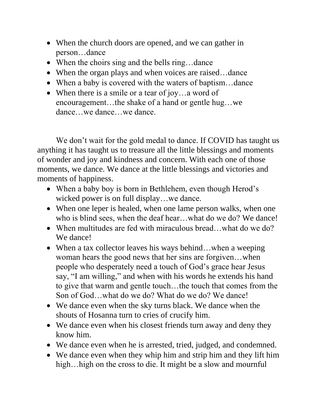- When the church doors are opened, and we can gather in person…dance
- When the choirs sing and the bells ring...dance
- When the organ plays and when voices are raised...dance
- When a baby is covered with the waters of baptism...dance
- When there is a smile or a tear of joy...a word of encouragement…the shake of a hand or gentle hug…we dance…we dance…we dance.

We don't wait for the gold medal to dance. If COVID has taught us anything it has taught us to treasure all the little blessings and moments of wonder and joy and kindness and concern. With each one of those moments, we dance. We dance at the little blessings and victories and moments of happiness.

- When a baby boy is born in Bethlehem, even though Herod's wicked power is on full display…we dance.
- When one leper is healed, when one lame person walks, when one who is blind sees, when the deaf hear…what do we do? We dance!
- When multitudes are fed with miraculous bread... what do we do? We dance!
- When a tax collector leaves his ways behind...when a weeping woman hears the good news that her sins are forgiven…when people who desperately need a touch of God's grace hear Jesus say, "I am willing," and when with his words he extends his hand to give that warm and gentle touch…the touch that comes from the Son of God…what do we do? What do we do? We dance!
- We dance even when the sky turns black. We dance when the shouts of Hosanna turn to cries of crucify him.
- We dance even when his closest friends turn away and deny they know him.
- We dance even when he is arrested, tried, judged, and condemned.
- We dance even when they whip him and strip him and they lift him high... high on the cross to die. It might be a slow and mournful